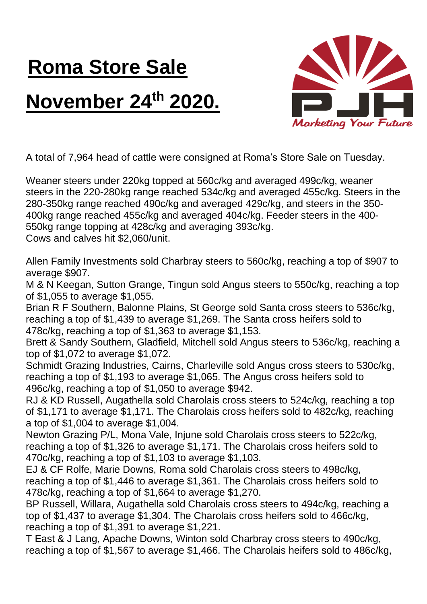## **Roma Store Sale November 24th 2020.**



A total of 7,964 head of cattle were consigned at Roma's Store Sale on Tuesday.

Weaner steers under 220kg topped at 560c/kg and averaged 499c/kg, weaner steers in the 220-280kg range reached 534c/kg and averaged 455c/kg. Steers in the 280-350kg range reached 490c/kg and averaged 429c/kg, and steers in the 350- 400kg range reached 455c/kg and averaged 404c/kg. Feeder steers in the 400- 550kg range topping at 428c/kg and averaging 393c/kg. Cows and calves hit \$2,060/unit.

Allen Family Investments sold Charbray steers to 560c/kg, reaching a top of \$907 to average \$907.

M & N Keegan, Sutton Grange, Tingun sold Angus steers to 550c/kg, reaching a top of \$1,055 to average \$1,055.

Brian R F Southern, Balonne Plains, St George sold Santa cross steers to 536c/kg, reaching a top of \$1,439 to average \$1,269. The Santa cross heifers sold to 478c/kg, reaching a top of \$1,363 to average \$1,153.

Brett & Sandy Southern, Gladfield, Mitchell sold Angus steers to 536c/kg, reaching a top of \$1,072 to average \$1,072.

Schmidt Grazing Industries, Cairns, Charleville sold Angus cross steers to 530c/kg, reaching a top of \$1,193 to average \$1,065. The Angus cross heifers sold to 496c/kg, reaching a top of \$1,050 to average \$942.

RJ & KD Russell, Augathella sold Charolais cross steers to 524c/kg, reaching a top of \$1,171 to average \$1,171. The Charolais cross heifers sold to 482c/kg, reaching a top of \$1,004 to average \$1,004.

Newton Grazing P/L, Mona Vale, Injune sold Charolais cross steers to 522c/kg, reaching a top of \$1,326 to average \$1,171. The Charolais cross heifers sold to 470c/kg, reaching a top of \$1,103 to average \$1,103.

EJ & CF Rolfe, Marie Downs, Roma sold Charolais cross steers to 498c/kg, reaching a top of \$1,446 to average \$1,361. The Charolais cross heifers sold to 478c/kg, reaching a top of \$1,664 to average \$1,270.

BP Russell, Willara, Augathella sold Charolais cross steers to 494c/kg, reaching a top of \$1,437 to average \$1,304. The Charolais cross heifers sold to 466c/kg, reaching a top of \$1,391 to average \$1,221.

T East & J Lang, Apache Downs, Winton sold Charbray cross steers to 490c/kg, reaching a top of \$1,567 to average \$1,466. The Charolais heifers sold to 486c/kg,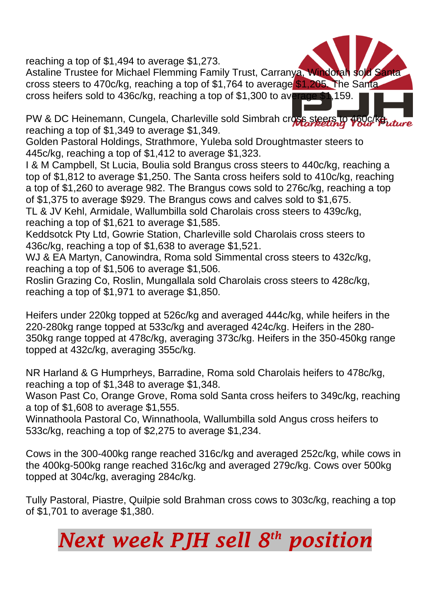reaching a top of \$1,494 to average \$1,273.

Astaline Trustee for Michael Flemming Family Trust, Carranya, Windorah sold Santa cross steers to 470c/kg, reaching a top of \$1,764 to average \$1,205. The Santa cross heifers sold to 436c/kg, reaching a top of \$1,300 to average \$1,159.

PW & DC Heinemann, Cungela, Charleville sold Simbrah cross steers to 460c/kg, reaching a top of \$1,349 to average \$1,349.

Golden Pastoral Holdings, Strathmore, Yuleba sold Droughtmaster steers to 445c/kg, reaching a top of \$1,412 to average \$1,323.

I & M Campbell, St Lucia, Boulia sold Brangus cross steers to 440c/kg, reaching a top of \$1,812 to average \$1,250. The Santa cross heifers sold to 410c/kg, reaching a top of \$1,260 to average 982. The Brangus cows sold to 276c/kg, reaching a top of \$1,375 to average \$929. The Brangus cows and calves sold to \$1,675.

TL & JV Kehl, Armidale, Wallumbilla sold Charolais cross steers to 439c/kg, reaching a top of \$1,621 to average \$1,585.

Keddsotck Pty Ltd, Gowrie Station, Charleville sold Charolais cross steers to 436c/kg, reaching a top of \$1,638 to average \$1,521.

WJ & EA Martyn, Canowindra, Roma sold Simmental cross steers to 432c/kg, reaching a top of \$1,506 to average \$1,506.

Roslin Grazing Co, Roslin, Mungallala sold Charolais cross steers to 428c/kg, reaching a top of \$1,971 to average \$1,850.

Heifers under 220kg topped at 526c/kg and averaged 444c/kg, while heifers in the 220-280kg range topped at 533c/kg and averaged 424c/kg. Heifers in the 280- 350kg range topped at 478c/kg, averaging 373c/kg. Heifers in the 350-450kg range topped at 432c/kg, averaging 355c/kg.

NR Harland & G Humprheys, Barradine, Roma sold Charolais heifers to 478c/kg, reaching a top of \$1,348 to average \$1,348.

Wason Past Co, Orange Grove, Roma sold Santa cross heifers to 349c/kg, reaching a top of \$1,608 to average \$1,555.

Winnathoola Pastoral Co, Winnathoola, Wallumbilla sold Angus cross heifers to 533c/kg, reaching a top of \$2,275 to average \$1,234.

Cows in the 300-400kg range reached 316c/kg and averaged 252c/kg, while cows in the 400kg-500kg range reached 316c/kg and averaged 279c/kg. Cows over 500kg topped at 304c/kg, averaging 284c/kg.

Tully Pastoral, Piastre, Quilpie sold Brahman cross cows to 303c/kg, reaching a top of \$1,701 to average \$1,380.

*Next week PJH sell 8 th position*